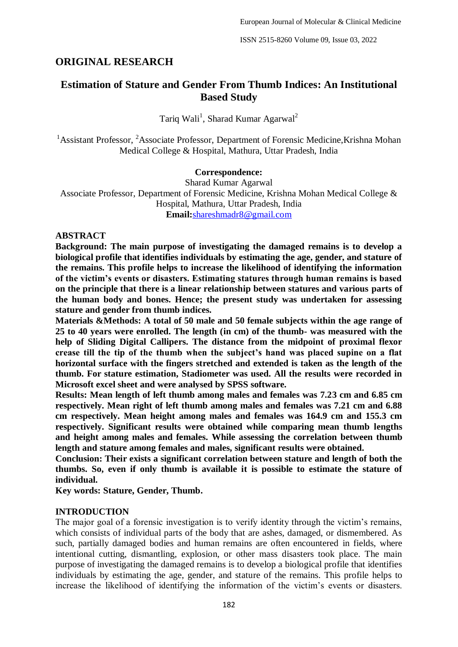# **ORIGINAL RESEARCH**

# **Estimation of Stature and Gender From Thumb Indices: An Institutional Based Study**

Tariq Wali<sup>1</sup>, Sharad Kumar Agarwal<sup>2</sup>

<sup>1</sup>Assistant Professor, <sup>2</sup>Associate Professor, Department of Forensic Medicine, Krishna Mohan Medical College & Hospital, Mathura, Uttar Pradesh, India

#### **Correspondence:**

Sharad Kumar Agarwal Associate Professor, Department of Forensic Medicine, Krishna Mohan Medical College & Hospital, Mathura, Uttar Pradesh, India **Email:**[shareshmadr8@gmail.com](about:blank)

### **ABSTRACT**

**Background: The main purpose of investigating the damaged remains is to develop a biological profile that identifies individuals by estimating the age, gender, and stature of the remains. This profile helps to increase the likelihood of identifying the information of the victim's events or disasters. Estimating statures through human remains is based on the principle that there is a linear relationship between statures and various parts of the human body and bones. Hence; the present study was undertaken for assessing stature and gender from thumb indices.**

**Materials &Methods: A total of 50 male and 50 female subjects within the age range of 25 to 40 years were enrolled. The length (in cm) of the thumb- was measured with the help of Sliding Digital Callipers. The distance from the midpoint of proximal flexor crease till the tip of the thumb when the subject's hand was placed supine on a flat horizontal surface with the fingers stretched and extended is taken as the length of the thumb. For stature estimation, Stadiometer was used. All the results were recorded in Microsoft excel sheet and were analysed by SPSS software.**

**Results: Mean length of left thumb among males and females was 7.23 cm and 6.85 cm respectively. Mean right of left thumb among males and females was 7.21 cm and 6.88 cm respectively. Mean height among males and females was 164.9 cm and 155.3 cm respectively. Significant results were obtained while comparing mean thumb lengths and height among males and females. While assessing the correlation between thumb length and stature among females and males, significant results were obtained.** 

**Conclusion: Their exists a significant correlation between stature and length of both the thumbs. So, even if only thumb is available it is possible to estimate the stature of individual.**

**Key words: Stature, Gender, Thumb.**

#### **INTRODUCTION**

The major goal of a forensic investigation is to verify identity through the victim's remains, which consists of individual parts of the body that are ashes, damaged, or dismembered. As such, partially damaged bodies and human remains are often encountered in fields, where intentional cutting, dismantling, explosion, or other mass disasters took place. The main purpose of investigating the damaged remains is to develop a biological profile that identifies individuals by estimating the age, gender, and stature of the remains. This profile helps to increase the likelihood of identifying the information of the victim's events or disasters.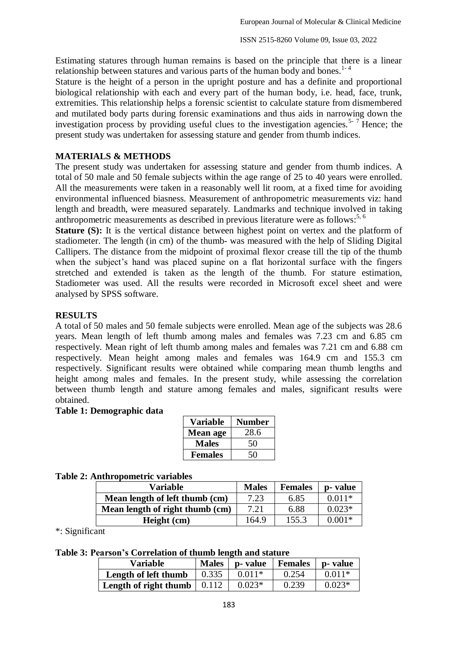Estimating statures through human remains is based on the principle that there is a linear relationship between statures and various parts of the human body and bones.<sup>1-4</sup>

Stature is the height of a person in the upright posture and has a definite and proportional biological relationship with each and every part of the human body, i.e. head, face, trunk, extremities. This relationship helps a forensic scientist to calculate stature from dismembered and mutilated body parts during forensic examinations and thus aids in narrowing down the investigation process by providing useful clues to the investigation agencies.<sup>5-7</sup> Hence; the present study was undertaken for assessing stature and gender from thumb indices.

## **MATERIALS & METHODS**

The present study was undertaken for assessing stature and gender from thumb indices. A total of 50 male and 50 female subjects within the age range of 25 to 40 years were enrolled. All the measurements were taken in a reasonably well lit room, at a fixed time for avoiding environmental influenced biasness. Measurement of anthropometric measurements viz: hand length and breadth, were measured separately. Landmarks and technique involved in taking anthropometric measurements as described in previous literature were as follows:<sup>5, 6</sup>

**Stature (S):** It is the vertical distance between highest point on vertex and the platform of stadiometer. The length (in cm) of the thumb- was measured with the help of Sliding Digital Callipers. The distance from the midpoint of proximal flexor crease till the tip of the thumb when the subject's hand was placed supine on a flat horizontal surface with the fingers stretched and extended is taken as the length of the thumb. For stature estimation, Stadiometer was used. All the results were recorded in Microsoft excel sheet and were analysed by SPSS software.

### **RESULTS**

A total of 50 males and 50 female subjects were enrolled. Mean age of the subjects was 28.6 years. Mean length of left thumb among males and females was 7.23 cm and 6.85 cm respectively. Mean right of left thumb among males and females was 7.21 cm and 6.88 cm respectively. Mean height among males and females was 164.9 cm and 155.3 cm respectively. Significant results were obtained while comparing mean thumb lengths and height among males and females. In the present study, while assessing the correlation between thumb length and stature among females and males, significant results were obtained.

#### **Table 1: Demographic data**

| <b>Variable</b> | <b>Number</b> |
|-----------------|---------------|
| <b>Mean age</b> | 28.6          |
| <b>Males</b>    | 50            |
| <b>Females</b>  | 50            |

### **Table 2: Anthropometric variables**

| Variable                        | <b>Males</b> | <b>Females</b> | p- value |
|---------------------------------|--------------|----------------|----------|
| Mean length of left thumb (cm)  | 7.23         | 6.85           | $0.011*$ |
| Mean length of right thumb (cm) | 7.21         | 6.88           | $0.023*$ |
| Height (cm)                     | 164.9        | 155.3          | $0.001*$ |

\*: Significant

## **Table 3: Pearson's Correlation of thumb length and stature**

| <b>Variable</b>       | <b>Males</b> | p- value | Females | p- value |
|-----------------------|--------------|----------|---------|----------|
| Length of left thumb  | 0.335        | $0.011*$ | 0.254   | $0.011*$ |
| Length of right thumb | 0.112        | $0.023*$ | 0.239   | $0.023*$ |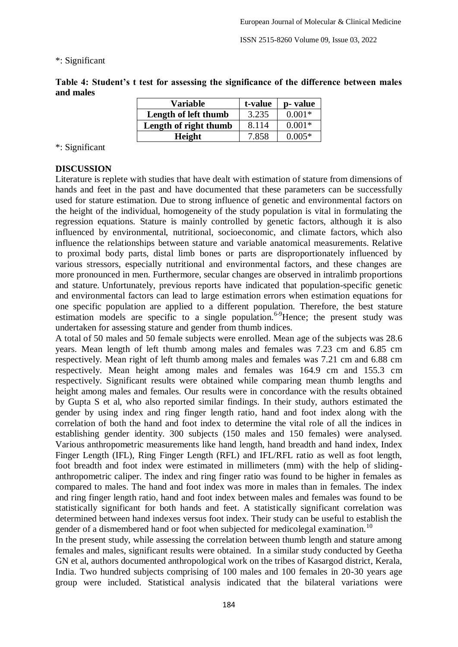ISSN 2515-8260 Volume 09, Issue 03, 2022

#### \*: Significant

**Table 4: Student's t test for assessing the significance of the difference between males and males**

| <b>Variable</b>       | t-value | p- value |
|-----------------------|---------|----------|
| Length of left thumb  | 3.235   | $0.001*$ |
| Length of right thumb | 8.114   | $0.001*$ |
| Height                | 7.858   | $0.005*$ |

### \*: Significant

### **DISCUSSION**

Literature is replete with studies that have dealt with estimation of stature from dimensions of hands and feet in the past and have documented that these parameters can be successfully used for stature estimation. Due to strong influence of genetic and environmental factors on the height of the individual, homogeneity of the study population is vital in formulating the regression equations. Stature is mainly controlled by genetic factors, although it is also influenced by environmental, nutritional, socioeconomic, and climate factors, which also influence the relationships between stature and variable anatomical measurements. Relative to proximal body parts, distal limb bones or parts are disproportionately influenced by various stressors, especially nutritional and environmental factors, and these changes are more pronounced in men. Furthermore, secular changes are observed in intralimb proportions and stature. Unfortunately, previous reports have indicated that population-specific genetic and environmental factors can lead to large estimation errors when estimation equations for one specific population are applied to a different population. Therefore, the best stature estimation models are specific to a single population.<sup>6-9</sup>Hence; the present study was undertaken for assessing stature and gender from thumb indices.

A total of 50 males and 50 female subjects were enrolled. Mean age of the subjects was 28.6 years. Mean length of left thumb among males and females was 7.23 cm and 6.85 cm respectively. Mean right of left thumb among males and females was 7.21 cm and 6.88 cm respectively. Mean height among males and females was 164.9 cm and 155.3 cm respectively. Significant results were obtained while comparing mean thumb lengths and height among males and females. Our results were in concordance with the results obtained by Gupta S et al, who also reported similar findings. In their study, authors estimated the gender by using index and ring finger length ratio, hand and foot index along with the correlation of both the hand and foot index to determine the vital role of all the indices in establishing gender identity. 300 subjects (150 males and 150 females) were analysed. Various anthropometric measurements like hand length, hand breadth and hand index, Index Finger Length (IFL), Ring Finger Length (RFL) and IFL/RFL ratio as well as foot length, foot breadth and foot index were estimated in millimeters (mm) with the help of slidinganthropometric caliper. The index and ring finger ratio was found to be higher in females as compared to males. The hand and foot index was more in males than in females. The index and ring finger length ratio, hand and foot index between males and females was found to be statistically significant for both hands and feet. A statistically significant correlation was determined between hand indexes versus foot index. Their study can be useful to establish the gender of a dismembered hand or foot when subjected for medicolegal examination.<sup>10</sup>

In the present study, while assessing the correlation between thumb length and stature among females and males, significant results were obtained. In a similar study conducted by Geetha GN et al, authors documented anthropological work on the tribes of Kasargod district, Kerala, India. Two hundred subjects comprising of 100 males and 100 females in 20-30 years age group were included. Statistical analysis indicated that the bilateral variations were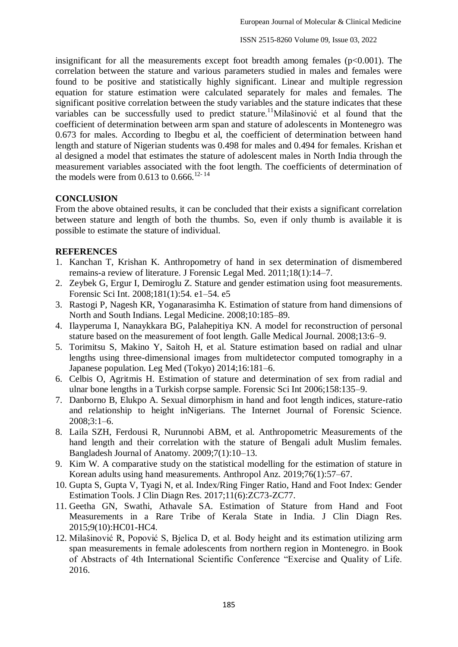insignificant for all the measurements except foot breadth among females  $(p<0.001)$ . The correlation between the stature and various parameters studied in males and females were found to be positive and statistically highly significant. Linear and multiple regression equation for stature estimation were calculated separately for males and females. The significant positive correlation between the study variables and the stature indicates that these variables can be successfully used to predict stature.<sup>11</sup>Milašinović et al found that the coefficient of determination between arm span and stature of adolescents in Montenegro was 0.673 for males. According to Ibegbu et al, the coefficient of determination between hand length and stature of Nigerian students was 0.498 for males and 0.494 for females. Krishan et al designed a model that estimates the stature of adolescent males in North India through the measurement variables associated with the foot length. The coefficients of determination of the models were from  $0.613$  to  $0.666$ .<sup>12-14</sup>

### **CONCLUSION**

From the above obtained results, it can be concluded that their exists a significant correlation between stature and length of both the thumbs. So, even if only thumb is available it is possible to estimate the stature of individual.

### **REFERENCES**

- 1. Kanchan T, Krishan K. Anthropometry of hand in sex determination of dismembered remains-a review of literature. J Forensic Legal Med. 2011;18(1):14–7.
- 2. Zeybek G, Ergur I, Demiroglu Z. Stature and gender estimation using foot measurements. Forensic Sci Int. 2008;181(1):54. e1–54. e5
- 3. Rastogi P, Nagesh KR, Yoganarasimha K. Estimation of stature from hand dimensions of North and South Indians. Legal Medicine. 2008;10:185–89.
- 4. Ilayperuma I, Nanaykkara BG, Palahepitiya KN. A model for reconstruction of personal stature based on the measurement of foot length. Galle Medical Journal. 2008;13:6–9.
- 5. Torimitsu S, Makino Y, Saitoh H, et al. Stature estimation based on radial and ulnar lengths using three-dimensional images from multidetector computed tomography in a Japanese population. Leg Med (Tokyo) 2014;16:181–6.
- 6. Celbis O, Agritmis H. Estimation of stature and determination of sex from radial and ulnar bone lengths in a Turkish corpse sample. Forensic Sci Int 2006;158:135–9.
- 7. Danborno B, Elukpo A. Sexual dimorphism in hand and foot length indices, stature-ratio and relationship to height inNigerians. The Internet Journal of Forensic Science. 2008;3:1–6.
- 8. Laila SZH, Ferdousi R, Nurunnobi ABM, et al. Anthropometric Measurements of the hand length and their correlation with the stature of Bengali adult Muslim females. Bangladesh Journal of Anatomy. 2009;7(1):10–13.
- 9. Kim W. A comparative study on the statistical modelling for the estimation of stature in Korean adults using hand measurements. Anthropol Anz. 2019;76(1):57–67.
- 10. Gupta S, Gupta V, Tyagi N, et al. Index/Ring Finger Ratio, Hand and Foot Index: Gender Estimation Tools. J Clin Diagn Res. 2017;11(6):ZC73-ZC77.
- 11. Geetha GN, Swathi, Athavale SA. Estimation of Stature from Hand and Foot Measurements in a Rare Tribe of Kerala State in India. J Clin Diagn Res. 2015;9(10):HC01-HC4.
- 12. Milašinović R, Popović S, Bjelica D, et al. Body height and its estimation utilizing arm span measurements in female adolescents from northern region in Montenegro. in Book of Abstracts of 4th International Scientific Conference "Exercise and Quality of Life. 2016.